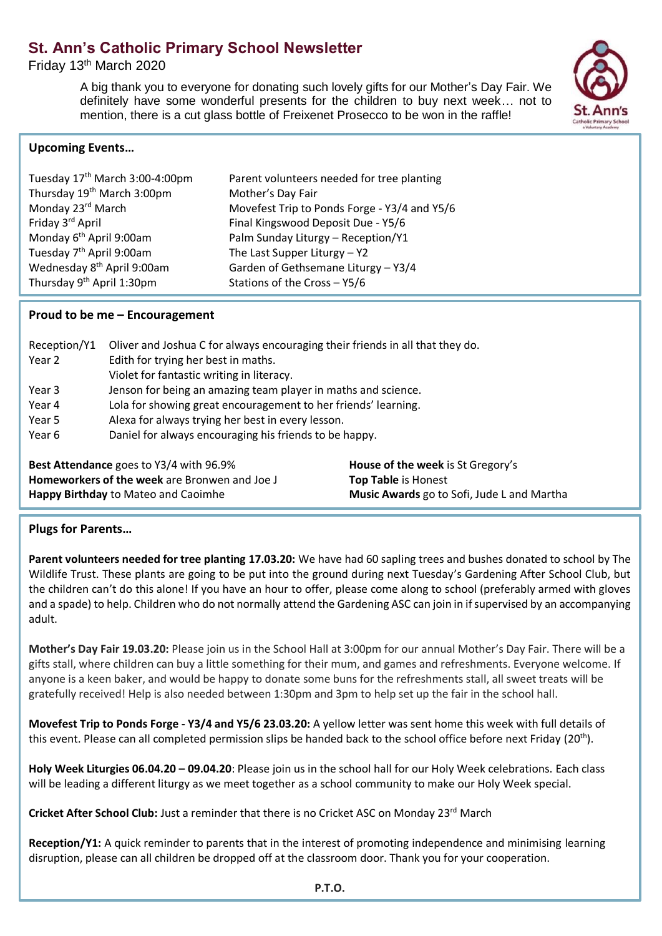# **St. Ann's Catholic Primary School Newsletter**

Friday 13th March 2020

A big thank you to everyone for donating such lovely gifts for our Mother's Day Fair. We definitely have some wonderful presents for the children to buy next week… not to mention, there is a cut glass bottle of Freixenet Prosecco to be won in the raffle!



## **Upcoming Events…**

| Tuesday 17 <sup>th</sup> March 3:00-4:00pm | Parent volunteers needed for tree planting   |
|--------------------------------------------|----------------------------------------------|
| Thursday 19 <sup>th</sup> March 3:00pm     | Mother's Day Fair                            |
| Monday 23 <sup>rd</sup> March              | Movefest Trip to Ponds Forge - Y3/4 and Y5/6 |
| Friday 3 <sup>rd</sup> April               | Final Kingswood Deposit Due - Y5/6           |
| Monday 6 <sup>th</sup> April 9:00am        | Palm Sunday Liturgy - Reception/Y1           |
| Tuesday 7 <sup>th</sup> April 9:00am       | The Last Supper Liturgy $-$ Y2               |
| Wednesday 8 <sup>th</sup> April 9:00am     | Garden of Gethsemane Liturgy - Y3/4          |
| Thursday 9 <sup>th</sup> April 1:30pm      | Stations of the Cross - Y5/6                 |
|                                            |                                              |

## **Proud to be me – Encouragement**

| Oliver and Joshua C for always encouraging their friends in all that they do. |
|-------------------------------------------------------------------------------|
|                                                                               |
|                                                                               |
| Jenson for being an amazing team player in maths and science.                 |
| Lola for showing great encouragement to her friends' learning.                |
|                                                                               |
| Daniel for always encouraging his friends to be happy.                        |
|                                                                               |
|                                                                               |

**Best Attendance** goes to Y3/4 with 96.9% **House of the week** is St Gregory's **Homeworkers of the week** are Bronwen and Joe J **Top Table** is Honest **Happy Birthday** to Mateo and Caoimhe **Music Awards** go to Sofi, Jude L and Martha

# **Plugs for Parents…**

**Parent volunteers needed for tree planting 17.03.20:** We have had 60 sapling trees and bushes donated to school by The Wildlife Trust. These plants are going to be put into the ground during next Tuesday's Gardening After School Club, but the children can't do this alone! If you have an hour to offer, please come along to school (preferably armed with gloves and a spade) to help. Children who do not normally attend the Gardening ASC can join in if supervised by an accompanying adult.

**Mother's Day Fair 19.03.20:** Please join us in the School Hall at 3:00pm for our annual Mother's Day Fair. There will be a gifts stall, where children can buy a little something for their mum, and games and refreshments. Everyone welcome. If anyone is a keen baker, and would be happy to donate some buns for the refreshments stall, all sweet treats will be gratefully received! Help is also needed between 1:30pm and 3pm to help set up the fair in the school hall.

**Movefest Trip to Ponds Forge - Y3/4 and Y5/6 23.03.20:** A yellow letter was sent home this week with full details of this event. Please can all completed permission slips be handed back to the school office before next Friday  $(20^{th})$ .

**Holy Week Liturgies 06.04.20 – 09.04.20**: Please join us in the school hall for our Holy Week celebrations. Each class will be leading a different liturgy as we meet together as a school community to make our Holy Week special.

Cricket After School Club: Just a reminder that there is no Cricket ASC on Monday 23<sup>rd</sup> March

**Reception/Y1:** A quick reminder to parents that in the interest of promoting independence and minimising learning disruption, please can all children be dropped off at the classroom door. Thank you for your cooperation.